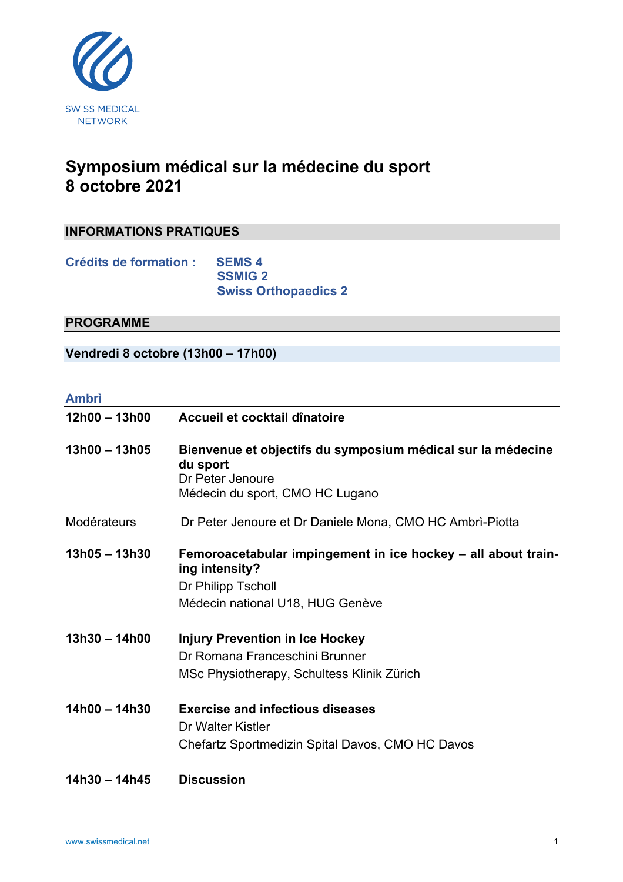

## **Symposium médical sur la médecine du sport 8 octobre 2021**

## **INFORMATIONS PRATIQUES**

**Crédits de formation : SEMS 4 SSMIG 2 Swiss Orthopaedics 2**

## **PROGRAMME**

**Vendredi 8 octobre (13h00 – 17h00)**

## **Ambrì**

| $12h00 - 13h00$ | Accueil et cocktail dînatoire                                                                                                             |
|-----------------|-------------------------------------------------------------------------------------------------------------------------------------------|
| $13h00 - 13h05$ | Bienvenue et objectifs du symposium médical sur la médecine<br>du sport<br>Dr Peter Jenoure<br>Médecin du sport, CMO HC Lugano            |
| Modérateurs     | Dr Peter Jenoure et Dr Daniele Mona, CMO HC Ambri-Piotta                                                                                  |
| $13h05 - 13h30$ | Femoroacetabular impingement in ice hockey - all about train-<br>ing intensity?<br>Dr Philipp Tscholl<br>Médecin national U18, HUG Genève |
| $13h30 - 14h00$ | <b>Injury Prevention in Ice Hockey</b><br>Dr Romana Franceschini Brunner<br>MSc Physiotherapy, Schultess Klinik Zürich                    |
| $14h00 - 14h30$ | <b>Exercise and infectious diseases</b><br>Dr Walter Kistler<br>Chefartz Sportmedizin Spital Davos, CMO HC Davos                          |
| 14h30 - 14h45   | <b>Discussion</b>                                                                                                                         |